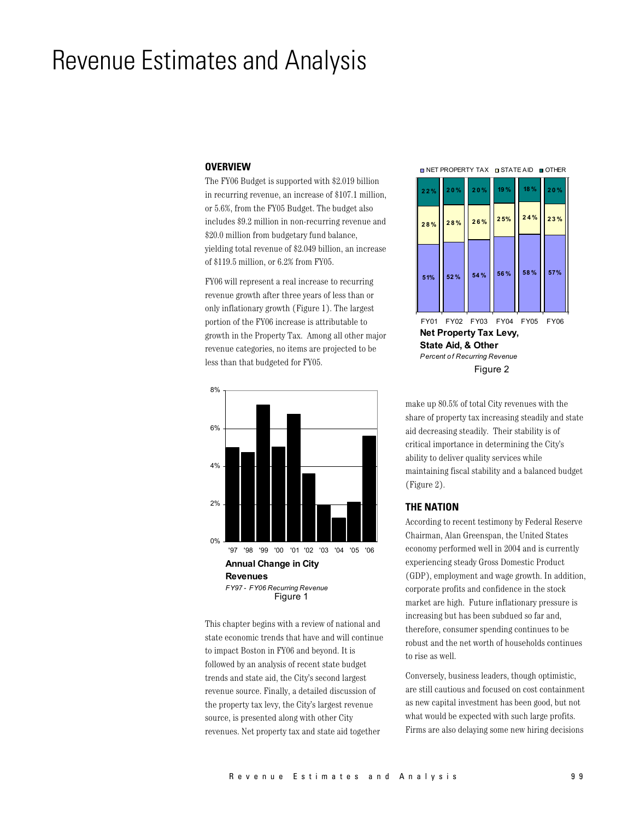# **Revenue Estimates and Analysis**

#### **OVERVIEW**

The FY06 Budget is supported with \$2.019 billion in recurring revenue, an increase of \$107.1 million, or 5.6%, from the FY05 Budget. The budget also includes \$9.2 million in non-recurring revenue and \$20.0 million from budgetary fund balance, yielding total revenue of \$2.049 billion, an increase of \$119.5 million, or 6.2% from FY05.

FY06 will represent a real increase to recurring revenue growth after three years of less than or only inflationary growth (Figure 1). The largest portion of the FY06 increase is attributable to growth in the Property Tax. Among all other major revenue categories, no items are projected to be less than that budgeted for FY05.



This chapter begins with a review of national and state economic trends that have and will continue to impact Boston in FY06 and beyond. It is followed by an analysis of recent state budget trends and state aid, the City's second largest revenue source. Finally, a detailed discussion of the property tax levy, the City's largest revenue source, is presented along with other City revenues. Net property tax and state aid together

**DINET PROPERTY TAX DISTATE AID OF OTHER** 



FY01 FY02 FY03 FY04 FY05 FY06 Net Property Tax Levy, State Aid, & Other **Percent of Recurring Revenue** Figure 2

make up 80.5% of total City revenues with the share of property tax increasing steadily and state aid decreasing steadily. Their stability is of critical importance in determining the City's ability to deliver quality services while maintaining fiscal stability and a balanced budget (Figure 2).

#### **THE NATION**

According to recent testimony by Federal Reserve Chairman, Alan Greenspan, the United States economy performed well in 2004 and is currently experiencing steady Gross Domestic Product (GDP), employment and wage growth. In addition, corporate profits and confidence in the stock market are high. Future inflationary pressure is increasing but has been subdued so far and, therefore, consumer spending continues to be robust and the net worth of households continues to rise as well.

Conversely, business leaders, though optimistic, are still cautious and focused on cost containment as new capital investment has been good, but not what would be expected with such large profits. Firms are also delaying some new hiring decisions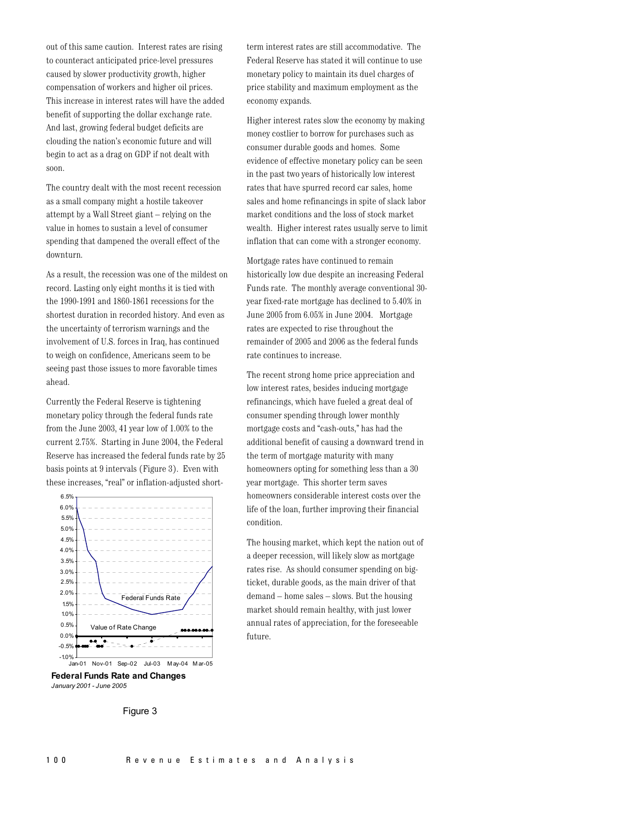out of this same caution. Interest rates are rising to counteract anticipated price-level pressures caused by slower productivity growth, higher compensation of workers and higher oil prices. This increase in interest rates will have the added benefit of supporting the dollar exchange rate. And last, growing federal budget deficits are clouding the nation's economic future and will begin to act as a drag on GDP if not dealt with soon.

The country dealt with the most recent recession as a small company might a hostile takeover attempt by a Wall Street giant – relying on the value in homes to sustain a level of consumer spending that dampened the overall effect of the downturn.

As a result, the recession was one of the mildest on record. Lasting only eight months it is tied with the 1990-1991 and 1860-1861 recessions for the shortest duration in recorded history. And even as the uncertainty of terrorism warnings and the involvement of U.S. forces in Iraq, has continued to weigh on confidence. Americans seem to be seeing past those issues to more favorable times ahead.

Currently the Federal Reserve is tightening monetary policy through the federal funds rate from the June 2003, 41 year low of 1.00% to the current 2.75%. Starting in June 2004, the Federal Reserve has increased the federal funds rate by 25 basis points at 9 intervals (Figure 3). Even with these increases, "real" or inflation-adjusted short-



**Federal Funds Rate and Changes** January 2001 - June 2005

term interest rates are still accommodative. The Federal Reserve has stated it will continue to use monetary policy to maintain its duel charges of price stability and maximum employment as the economy expands.

Higher interest rates slow the economy by making money costlier to borrow for purchases such as consumer durable goods and homes. Some evidence of effective monetary policy can be seen in the past two years of historically low interest rates that have spurred record car sales, home sales and home refinancings in spite of slack labor market conditions and the loss of stock market wealth. Higher interest rates usually serve to limit inflation that can come with a stronger economy.

Mortgage rates have continued to remain historically low due despite an increasing Federal Funds rate. The monthly average conventional 30year fixed-rate mortgage has declined to 5.40% in June 2005 from 6.05% in June 2004. Mortgage rates are expected to rise throughout the remainder of 2005 and 2006 as the federal funds rate continues to increase.

The recent strong home price appreciation and low interest rates, besides inducing mortgage refinancings, which have fueled a great deal of consumer spending through lower monthly mortgage costs and "cash-outs," has had the additional benefit of causing a downward trend in the term of mortgage maturity with many homeowners opting for something less than a 30 year mortgage. This shorter term saves homeowners considerable interest costs over the life of the loan, further improving their financial condition.

The housing market, which kept the nation out of a deeper recession, will likely slow as mortgage rates rise. As should consumer spending on bigticket, durable goods, as the main driver of that demand – home sales – slows. But the housing market should remain healthy, with just lower annual rates of appreciation, for the foreseeable future.

Figure 3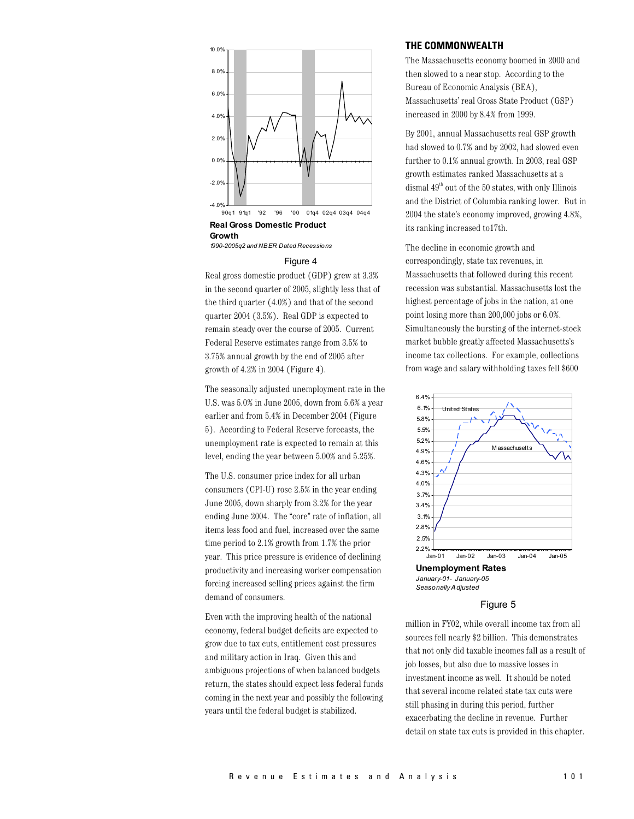

1990-2005a2 and NBER Dated Recessions

#### Figure 4

Real gross domestic product (GDP) grew at 3.3% in the second quarter of 2005, slightly less that of the third quarter (4.0%) and that of the second quarter 2004 (3.5%). Real GDP is expected to remain steady over the course of 2005. Current Federal Reserve estimates range from 3.5% to 3.75% annual growth by the end of 2005 after growth of 4.2% in 2004 (Figure 4).

The seasonally adjusted unemployment rate in the U.S. was 5.0% in June 2005, down from 5.6% a year earlier and from 5.4% in December 2004 (Figure 5). According to Federal Reserve forecasts, the unemployment rate is expected to remain at this level, ending the year between 5.00% and 5.25%.

The U.S. consumer price index for all urban consumers (CPI-U) rose  $2.5\%$  in the year ending June 2005, down sharply from 3.2% for the year ending June 2004. The "core" rate of inflation, all items less food and fuel, increased over the same time period to  $2.1\%$  growth from 1.7% the prior year. This price pressure is evidence of declining productivity and increasing worker compensation forcing increased selling prices against the firm demand of consumers.

Even with the improving health of the national economy, federal budget deficits are expected to grow due to tax cuts, entitlement cost pressures and military action in Iraq. Given this and ambiguous projections of when balanced budgets return, the states should expect less federal funds coming in the next year and possibly the following years until the federal budget is stabilized.

#### THE COMMONWEALTH

The Massachusetts economy boomed in 2000 and then slowed to a near stop. According to the Bureau of Economic Analysis (BEA), Massachusetts' real Gross State Product (GSP) increased in 2000 by 8.4% from 1999.

By 2001, annual Massachusetts real GSP growth had slowed to 0.7% and by 2002, had slowed even further to 0.1% annual growth. In 2003, real GSP growth estimates ranked Massachusetts at a dismal  $49<sup>th</sup>$  out of the 50 states, with only Illinois and the District of Columbia ranking lower. But in 2004 the state's economy improved, growing 4.8%, its ranking increased to17th.

The decline in economic growth and correspondingly, state tax revenues, in Massachusetts that followed during this recent recession was substantial. Massachusetts lost the highest percentage of jobs in the nation, at one point losing more than 200,000 jobs or 6.0%. Simultaneously the bursting of the internet-stock market bubble greatly affected Massachusetts's income tax collections. For example, collections from wage and salary withholding taxes fell \$600



#### Figure 5

million in FY02, while overall income tax from all sources fell nearly \$2 billion. This demonstrates that not only did taxable incomes fall as a result of job losses, but also due to massive losses in investment income as well. It should be noted that several income related state tax cuts were still phasing in during this period, further exacerbating the decline in revenue. Further detail on state tax cuts is provided in this chapter.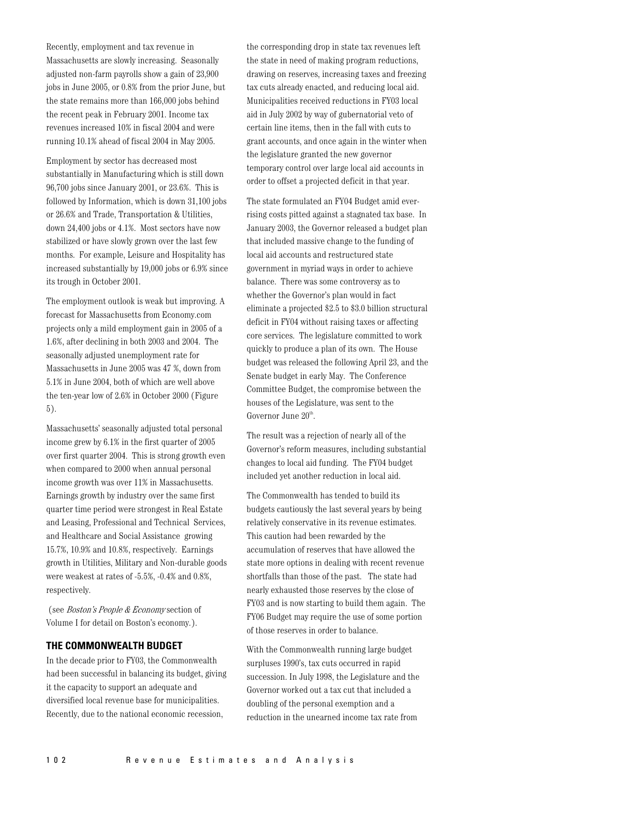Recently, employment and tax revenue in Massachusetts are slowly increasing. Seasonally adjusted non-farm payrolls show a gain of 23,900 jobs in June 2005, or 0.8% from the prior June, but the state remains more than 166,000 jobs behind the recent peak in February 2001. Income tax revenues increased 10% in fiscal 2004 and were running 10.1% ahead of fiscal 2004 in May 2005.

Employment by sector has decreased most substantially in Manufacturing which is still down 96,700 jobs since January 2001, or 23.6%. This is followed by Information, which is down 31,100 jobs or 26.6% and Trade, Transportation & Utilities, down 24,400 jobs or 4.1%. Most sectors have now stabilized or have slowly grown over the last few months. For example, Leisure and Hospitality has increased substantially by 19,000 jobs or 6.9% since its trough in October 2001.

The employment outlook is weak but improving. A forecast for Massachusetts from Economy.com projects only a mild employment gain in 2005 of a 1.6%, after declining in both 2003 and 2004. The seasonally adjusted unemployment rate for Massachusetts in June 2005 was 47 %, down from 5.1% in June 2004, both of which are well above the ten-year low of 2.6% in October 2000 (Figure  $5$ ).

Massachusetts' seasonally adjusted total personal income grew by  $6.1\%$  in the first quarter of 2005 over first quarter 2004. This is strong growth even when compared to 2000 when annual personal income growth was over 11% in Massachusetts. Earnings growth by industry over the same first quarter time period were strongest in Real Estate and Leasing, Professional and Technical Services, and Healthcare and Social Assistance growing 15.7%, 10.9% and 10.8%, respectively. Earnings growth in Utilities, Military and Non-durable goods were weakest at rates of -5.5%, -0.4% and 0.8%, respectively.

(see Boston's People & Economy section of Volume I for detail on Boston's economy.).

#### THE COMMONWEALTH BUDGET

In the decade prior to FY03, the Commonwealth had been successful in balancing its budget, giving it the capacity to support an adequate and diversified local revenue base for municipalities. Recently, due to the national economic recession,

the corresponding drop in state tax revenues left the state in need of making program reductions, drawing on reserves, increasing taxes and freezing tax cuts already enacted, and reducing local aid. Municipalities received reductions in FY03 local aid in July 2002 by way of gubernatorial veto of certain line items, then in the fall with cuts to grant accounts, and once again in the winter when the legislature granted the new governor temporary control over large local aid accounts in order to offset a projected deficit in that year.

The state formulated an FY04 Budget amid everrising costs pitted against a stagnated tax base. In January 2003, the Governor released a budget plan that included massive change to the funding of local aid accounts and restructured state government in myriad ways in order to achieve balance. There was some controversy as to whether the Governor's plan would in fact eliminate a projected \$2.5 to \$3.0 billion structural deficit in FY04 without raising taxes or affecting core services. The legislature committed to work quickly to produce a plan of its own. The House budget was released the following April 23, and the Senate budget in early May. The Conference Committee Budget, the compromise between the houses of the Legislature, was sent to the Governor June 20<sup>th</sup>.

The result was a rejection of nearly all of the Governor's reform measures, including substantial changes to local aid funding. The FY04 budget included yet another reduction in local aid.

The Commonwealth has tended to build its budgets cautiously the last several years by being relatively conservative in its revenue estimates. This caution had been rewarded by the accumulation of reserves that have allowed the state more options in dealing with recent revenue shortfalls than those of the past. The state had nearly exhausted those reserves by the close of FY03 and is now starting to build them again. The FY06 Budget may require the use of some portion of those reserves in order to balance.

With the Commonwealth running large budget surpluses 1990's, tax cuts occurred in rapid succession. In July 1998, the Legislature and the Governor worked out a tax cut that included a doubling of the personal exemption and a reduction in the unearned income tax rate from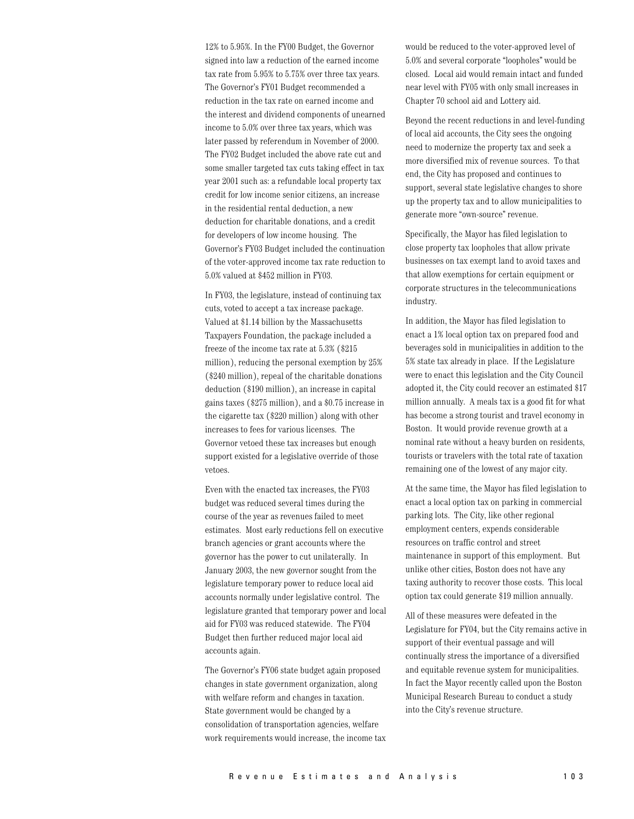12% to 5.95%. In the FY00 Budget, the Governor signed into law a reduction of the earned income tax rate from 5.95% to 5.75% over three tax years. The Governor's FY01 Budget recommended a reduction in the tax rate on earned income and the interest and dividend components of unearned income to 5.0% over three tax years, which was later passed by referendum in November of 2000. The FY02 Budget included the above rate cut and some smaller targeted tax cuts taking effect in tax year 2001 such as: a refundable local property tax credit for low income senior citizens, an increase in the residential rental deduction, a new deduction for charitable donations, and a credit for developers of low income housing. The Governor's FY03 Budget included the continuation of the voter-approved income tax rate reduction to 5.0% valued at \$452 million in FY03.

In FY03, the legislature, instead of continuing tax cuts, voted to accept a tax increase package. Valued at \$1.14 billion by the Massachusetts Taxpayers Foundation, the package included a freeze of the income tax rate at 5.3% (\$215) million), reducing the personal exemption by 25% (\$240 million), repeal of the charitable donations deduction (\$190 million), an increase in capital gains taxes (\$275 million), and a \$0.75 increase in the cigarette tax (\$220 million) along with other increases to fees for various licenses. The Governor vetoed these tax increases but enough support existed for a legislative override of those vetoes.

Even with the enacted tax increases, the FY03 budget was reduced several times during the course of the year as revenues failed to meet estimates. Most early reductions fell on executive branch agencies or grant accounts where the governor has the power to cut unilaterally. In January 2003, the new governor sought from the legislature temporary power to reduce local aid accounts normally under legislative control. The legislature granted that temporary power and local aid for FY03 was reduced statewide. The FY04 Budget then further reduced major local aid accounts again.

The Governor's FY06 state budget again proposed changes in state government organization, along with welfare reform and changes in taxation. State government would be changed by a consolidation of transportation agencies, welfare work requirements would increase, the income tax would be reduced to the voter-approved level of 5.0% and several corporate "loopholes" would be closed. Local aid would remain intact and funded near level with FY05 with only small increases in Chapter 70 school aid and Lottery aid.

Beyond the recent reductions in and level-funding of local aid accounts, the City sees the ongoing need to modernize the property tax and seek a more diversified mix of revenue sources. To that end, the City has proposed and continues to support, several state legislative changes to shore up the property tax and to allow municipalities to generate more "own-source" revenue.

Specifically, the Mayor has filed legislation to close property tax loopholes that allow private businesses on tax exempt land to avoid taxes and that allow exemptions for certain equipment or corporate structures in the telecommunications industry.

In addition, the Mayor has filed legislation to enact a 1% local option tax on prepared food and beverages sold in municipalities in addition to the 5% state tax already in place. If the Legislature were to enact this legislation and the City Council adopted it, the City could recover an estimated \$17 million annually. A meals tax is a good fit for what has become a strong tourist and travel economy in Boston. It would provide revenue growth at a nominal rate without a heavy burden on residents, tourists or travelers with the total rate of taxation remaining one of the lowest of any major city.

At the same time, the Mayor has filed legislation to enact a local option tax on parking in commercial parking lots. The City, like other regional employment centers, expends considerable resources on traffic control and street maintenance in support of this employment. But unlike other cities, Boston does not have any taxing authority to recover those costs. This local option tax could generate \$19 million annually.

All of these measures were defeated in the Legislature for FY04, but the City remains active in support of their eventual passage and will continually stress the importance of a diversified and equitable revenue system for municipalities. In fact the Mayor recently called upon the Boston Municipal Research Bureau to conduct a study into the City's revenue structure.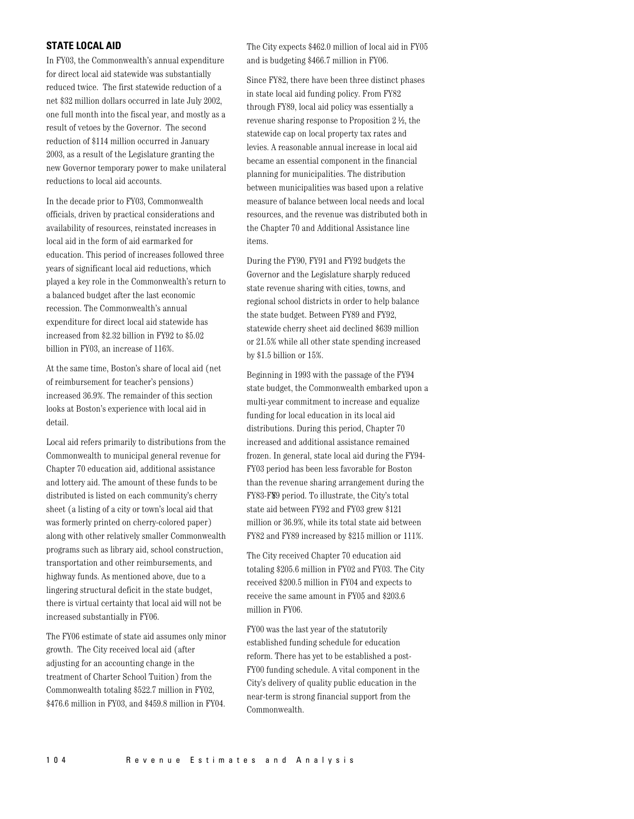### **STATE LOCAL AID**

In FY03, the Commonwealth's annual expenditure for direct local aid statewide was substantially reduced twice. The first statewide reduction of a net \$32 million dollars occurred in late July 2002, one full month into the fiscal year, and mostly as a result of vetoes by the Governor. The second reduction of \$114 million occurred in January 2003, as a result of the Legislature granting the new Governor temporary power to make unilateral reductions to local aid accounts.

In the decade prior to FY03, Commonwealth officials, driven by practical considerations and availability of resources, reinstated increases in local aid in the form of aid earmarked for education. This period of increases followed three years of significant local aid reductions, which played a key role in the Commonwealth's return to a balanced budget after the last economic recession. The Commonwealth's annual expenditure for direct local aid statewide has increased from \$2.32 billion in FY92 to \$5.02 billion in FY03, an increase of 116%.

At the same time, Boston's share of local aid (net of reimbursement for teacher's pensions) increased 36.9%. The remainder of this section looks at Boston's experience with local aid in detail.

Local aid refers primarily to distributions from the Commonwealth to municipal general revenue for Chapter 70 education aid, additional assistance and lottery aid. The amount of these funds to be distributed is listed on each community's cherry sheet (a listing of a city or town's local aid that was formerly printed on cherry-colored paper) along with other relatively smaller Commonwealth programs such as library aid, school construction, transportation and other reimbursements, and highway funds. As mentioned above, due to a lingering structural deficit in the state budget, there is virtual certainty that local aid will not be increased substantially in FY06.

The FY06 estimate of state aid assumes only minor growth. The City received local aid (after adjusting for an accounting change in the treatment of Charter School Tuition) from the Commonwealth totaling \$522.7 million in FY02, \$476.6 million in FY03, and \$459.8 million in FY04.

The City expects \$462.0 million of local aid in FY05 and is budgeting \$466.7 million in FY06.

Since FY82, there have been three distinct phases in state local aid funding policy. From FY82 through FY89, local aid policy was essentially a revenue sharing response to Proposition  $2\frac{1}{2}$ , the statewide cap on local property tax rates and levies. A reasonable annual increase in local aid became an essential component in the financial planning for municipalities. The distribution between municipalities was based upon a relative measure of balance between local needs and local resources, and the revenue was distributed both in the Chapter 70 and Additional Assistance line items.

During the FY90, FY91 and FY92 budgets the Governor and the Legislature sharply reduced state revenue sharing with cities, towns, and regional school districts in order to help balance the state budget. Between FY89 and FY92, statewide cherry sheet aid declined \$639 million or 21.5% while all other state spending increased by \$1.5 billion or  $15\%$ .

Beginning in 1993 with the passage of the FY94 state budget, the Commonwealth embarked upon a multi-year commitment to increase and equalize funding for local education in its local aid distributions. During this period, Chapter 70 increased and additional assistance remained frozen. In general, state local aid during the FY94-FY03 period has been less favorable for Boston than the revenue sharing arrangement during the FY83-F89 period. To illustrate, the City's total state aid between FY92 and FY03 grew \$121 million or 36.9%, while its total state aid between FY82 and FY89 increased by \$215 million or 111%.

The City received Chapter 70 education aid totaling \$205.6 million in FY02 and FY03. The City received \$200.5 million in FY04 and expects to receive the same amount in FY05 and \$203.6 million in FY06.

FY00 was the last year of the statutorily established funding schedule for education reform. There has yet to be established a post-FY00 funding schedule. A vital component in the City's delivery of quality public education in the near-term is strong financial support from the Commonwealth.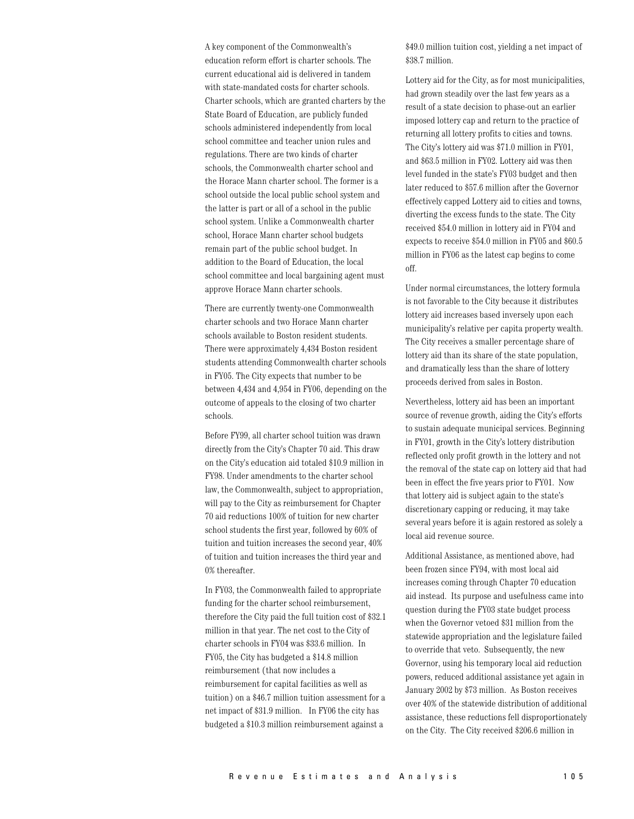A key component of the Commonwealth's education reform effort is charter schools. The current educational aid is delivered in tandem with state-mandated costs for charter schools. Charter schools, which are granted charters by the State Board of Education, are publicly funded schools administered independently from local school committee and teacher union rules and regulations. There are two kinds of charter schools, the Commonwealth charter school and the Horace Mann charter school. The former is a school outside the local public school system and the latter is part or all of a school in the public school system. Unlike a Commonwealth charter school, Horace Mann charter school budgets remain part of the public school budget. In addition to the Board of Education, the local school committee and local bargaining agent must approve Horace Mann charter schools.

There are currently twenty-one Commonwealth charter schools and two Horace Mann charter schools available to Boston resident students. There were approximately 4,434 Boston resident students attending Commonwealth charter schools in FY05. The City expects that number to be between 4,434 and 4,954 in FY06, depending on the outcome of appeals to the closing of two charter schools.

Before FY99, all charter school tuition was drawn directly from the City's Chapter 70 aid. This draw on the City's education aid totaled \$10.9 million in FY98. Under amendments to the charter school law, the Commonwealth, subject to appropriation, will pay to the City as reimbursement for Chapter 70 aid reductions 100% of tuition for new charter school students the first year, followed by 60% of tuition and tuition increases the second year, 40% of tuition and tuition increases the third year and 0% thereafter.

In FY03, the Commonwealth failed to appropriate funding for the charter school reimbursement, therefore the City paid the full tuition cost of \$32.1 million in that year. The net cost to the City of charter schools in FY04 was \$33.6 million. In FY05, the City has budgeted a \$14.8 million reimbursement (that now includes a reimbursement for capital facilities as well as tuition) on a \$46.7 million tuition assessment for a net impact of \$31.9 million. In FY06 the city has budgeted a \$10.3 million reimbursement against a

\$49.0 million tuition cost, yielding a net impact of \$38.7 million.

Lottery aid for the City, as for most municipalities, had grown steadily over the last few years as a result of a state decision to phase-out an earlier imposed lottery cap and return to the practice of returning all lottery profits to cities and towns. The City's lottery aid was \$71.0 million in FY01, and \$63.5 million in FY02. Lottery aid was then level funded in the state's FY03 budget and then later reduced to \$57.6 million after the Governor effectively capped Lottery aid to cities and towns, diverting the excess funds to the state. The City received \$54.0 million in lottery aid in FY04 and expects to receive \$54.0 million in FY05 and \$60.5 million in FY06 as the latest cap begins to come off.

Under normal circumstances, the lottery formula is not favorable to the City because it distributes lottery aid increases based inversely upon each municipality's relative per capita property wealth. The City receives a smaller percentage share of lottery aid than its share of the state population. and dramatically less than the share of lottery proceeds derived from sales in Boston.

Nevertheless, lottery aid has been an important source of revenue growth, aiding the City's efforts to sustain adequate municipal services. Beginning in FY01, growth in the City's lottery distribution reflected only profit growth in the lottery and not the removal of the state cap on lottery aid that had been in effect the five years prior to FY01. Now that lottery aid is subject again to the state's discretionary capping or reducing, it may take several years before it is again restored as solely a local aid revenue source.

Additional Assistance, as mentioned above, had been frozen since FY94, with most local aid increases coming through Chapter 70 education aid instead. Its purpose and usefulness came into question during the FY03 state budget process when the Governor vetoed \$31 million from the statewide appropriation and the legislature failed to override that veto. Subsequently, the new Governor, using his temporary local aid reduction powers, reduced additional assistance yet again in January 2002 by \$73 million. As Boston receives over 40% of the statewide distribution of additional assistance, these reductions fell disproportionately on the City. The City received \$206.6 million in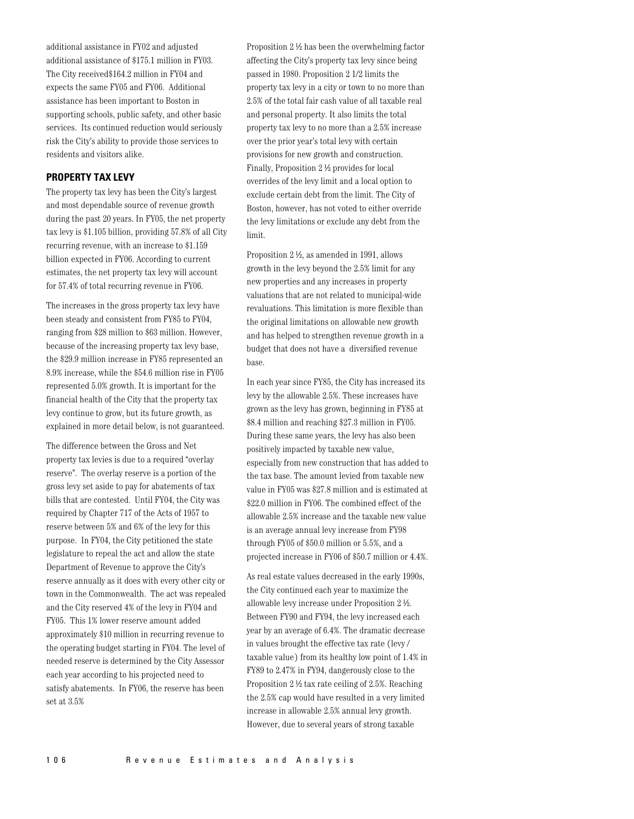additional assistance in FY02 and adjusted additional assistance of \$175.1 million in FY03. The City received \$164.2 million in FY04 and expects the same FY05 and FY06. Additional assistance has been important to Boston in supporting schools, public safety, and other basic services. Its continued reduction would seriously risk the City's ability to provide those services to residents and visitors alike.

#### **PROPERTY TAX LEVY**

The property tax levy has been the City's largest and most dependable source of revenue growth during the past 20 years. In FY05, the net property tax levy is \$1.105 billion, providing 57.8% of all City recurring revenue, with an increase to \$1.159 billion expected in FY06. According to current estimates, the net property tax levy will account for 57.4% of total recurring revenue in FY06.

The increases in the gross property tax levy have been steady and consistent from FY85 to FY04, ranging from \$28 million to \$63 million. However, because of the increasing property tax levy base, the \$29.9 million increase in FY85 represented an 8.9% increase, while the \$54.6 million rise in FY05 represented 5.0% growth. It is important for the financial health of the City that the property tax levy continue to grow, but its future growth, as explained in more detail below, is not guaranteed.

The difference between the Gross and Net property tax levies is due to a required "overlay reserve". The overlay reserve is a portion of the gross levy set aside to pay for abatements of tax bills that are contested. Until FY04, the City was required by Chapter 717 of the Acts of 1957 to reserve between 5% and 6% of the levy for this purpose. In FY04, the City petitioned the state legislature to repeal the act and allow the state Department of Revenue to approve the City's reserve annually as it does with every other city or town in the Commonwealth. The act was repealed and the City reserved 4% of the levy in FY04 and FY05. This 1% lower reserve amount added approximately \$10 million in recurring revenue to the operating budget starting in FY04. The level of needed reserve is determined by the City Assessor each year according to his projected need to satisfy abatements. In FY06, the reserve has been set at  $3.5%$ 

Proposition 2 1/2 has been the overwhelming factor affecting the City's property tax levy since being passed in 1980. Proposition 2 1/2 limits the property tax levy in a city or town to no more than 2.5% of the total fair cash value of all taxable real and personal property. It also limits the total property tax levy to no more than a 2.5% increase over the prior year's total levy with certain provisions for new growth and construction. Finally, Proposition 2 ½ provides for local overrides of the levy limit and a local option to exclude certain debt from the limit. The City of Boston, however, has not voted to either override the levy limitations or exclude any debt from the limit.

Proposition  $2\frac{1}{2}$ , as amended in 1991, allows growth in the levy beyond the 2.5% limit for any new properties and any increases in property valuations that are not related to municipal-wide revaluations. This limitation is more flexible than the original limitations on allowable new growth and has helped to strengthen revenue growth in a budget that does not have a diversified revenue base.

In each year since FY85, the City has increased its levy by the allowable 2.5%. These increases have grown as the levy has grown, beginning in FY85 at \$8.4 million and reaching \$27.3 million in FY05. During these same years, the levy has also been positively impacted by taxable new value, especially from new construction that has added to the tax base. The amount levied from taxable new value in FY05 was \$27.8 million and is estimated at \$22.0 million in FY06. The combined effect of the allowable 2.5% increase and the taxable new value is an average annual levy increase from FY98 through FY05 of \$50.0 million or 5.5%, and a projected increase in FY06 of \$50.7 million or 4.4%.

As real estate values decreased in the early 1990s. the City continued each year to maximize the allowable levy increase under Proposition 2 1/2. Between FY90 and FY94, the levy increased each year by an average of 6.4%. The dramatic decrease in values brought the effective tax rate (levy/ taxable value) from its healthy low point of 1.4% in FY89 to 2.47% in FY94, dangerously close to the Proposition  $2 \frac{1}{2}$  tax rate ceiling of 2.5%. Reaching the 2.5% cap would have resulted in a very limited increase in allowable 2.5% annual levy growth. However, due to several years of strong taxable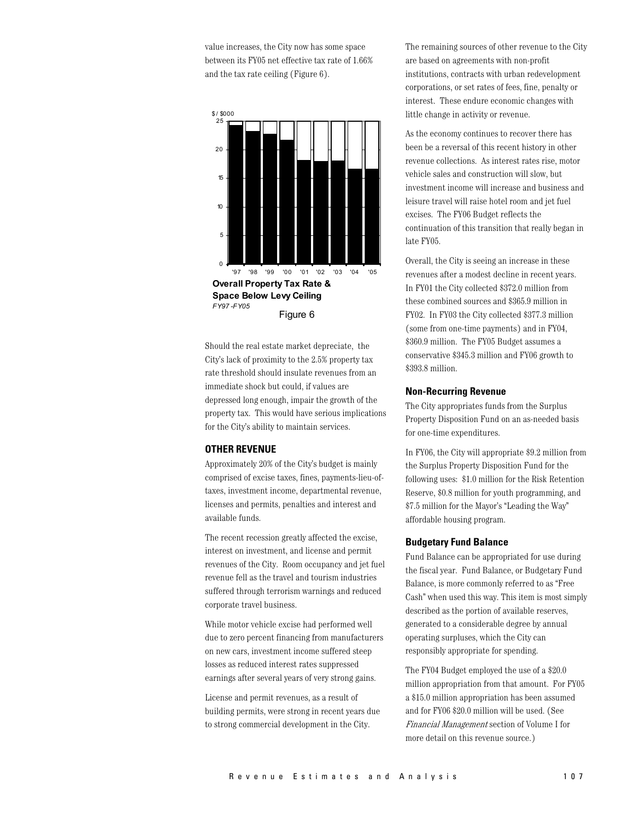value increases, the City now has some space between its FY05 net effective tax rate of 1.66% and the tax rate ceiling (Figure  $6$ ).



Should the real estate market depreciate, the City's lack of proximity to the 2.5% property tax rate threshold should insulate revenues from an immediate shock but could, if values are depressed long enough, impair the growth of the property tax. This would have serious implications for the City's ability to maintain services.

### **OTHER REVENUE**

Approximately 20% of the City's budget is mainly comprised of excise taxes, fines, payments-lieu-oftaxes, investment income, departmental revenue, licenses and permits, penalties and interest and available funds.

The recent recession greatly affected the excise, interest on investment, and license and permit revenues of the City. Room occupancy and jet fuel revenue fell as the travel and tourism industries suffered through terrorism warnings and reduced corporate travel business.

While motor vehicle excise had performed well due to zero percent financing from manufacturers on new cars, investment income suffered steep losses as reduced interest rates suppressed earnings after several years of very strong gains.

License and permit revenues, as a result of building permits, were strong in recent years due to strong commercial development in the City.

The remaining sources of other revenue to the City are based on agreements with non-profit institutions, contracts with urban redevelopment corporations, or set rates of fees, fine, penalty or interest. These endure economic changes with little change in activity or revenue.

As the economy continues to recover there has been be a reversal of this recent history in other revenue collections. As interest rates rise, motor vehicle sales and construction will slow, but investment income will increase and business and leisure travel will raise hotel room and jet fuel excises. The FY06 Budget reflects the continuation of this transition that really began in late FY05.

Overall, the City is seeing an increase in these revenues after a modest decline in recent years. In FY01 the City collected \$372.0 million from these combined sources and \$365.9 million in FY02. In FY03 the City collected \$377.3 million (some from one-time payments) and in FY04, \$360.9 million. The FY05 Budget assumes a conservative \$345.3 million and FY06 growth to \$393.8 million.

#### **Non-Recurring Revenue**

The City appropriates funds from the Surplus Property Disposition Fund on an as-needed basis for one-time expenditures.

In FY06, the City will appropriate \$9.2 million from the Surplus Property Disposition Fund for the following uses: \$1.0 million for the Risk Retention Reserve, \$0.8 million for youth programming, and \$7.5 million for the Mayor's "Leading the Way" affordable housing program.

#### **Budgetary Fund Balance**

Fund Balance can be appropriated for use during the fiscal year. Fund Balance, or Budgetary Fund Balance, is more commonly referred to as "Free Cash" when used this way. This item is most simply described as the portion of available reserves, generated to a considerable degree by annual operating surpluses, which the City can responsibly appropriate for spending.

The FY04 Budget employed the use of a \$20.0 million appropriation from that amount. For FY05 a \$15.0 million appropriation has been assumed and for FY06 \$20.0 million will be used. (See Financial Management section of Volume I for more detail on this revenue source.)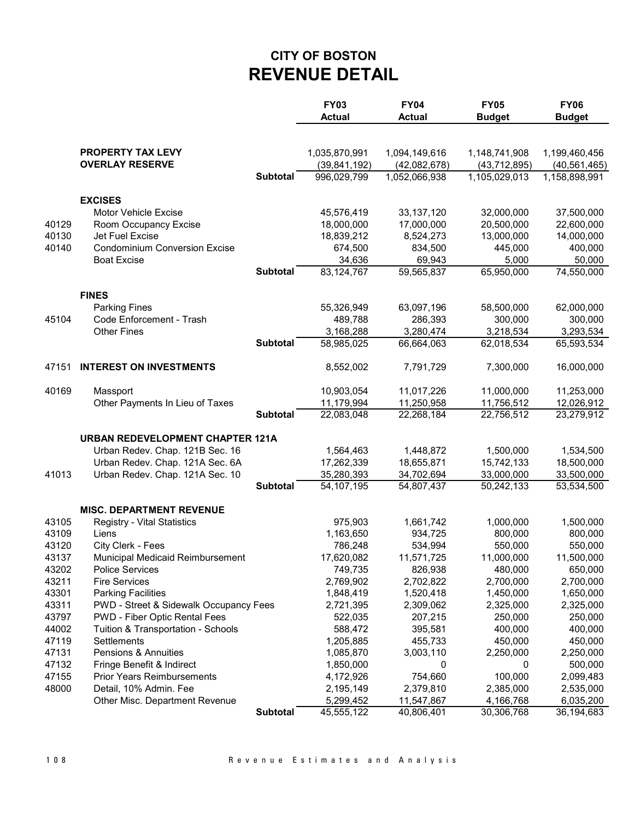## **CITY OF BOSTON REVENUE DETAIL**

|                |                                                            |                 | <b>FY03</b><br><b>Actual</b> | <b>FY04</b><br><b>Actual</b> | <b>FY05</b><br><b>Budget</b> | <b>FY06</b><br><b>Budget</b> |
|----------------|------------------------------------------------------------|-----------------|------------------------------|------------------------------|------------------------------|------------------------------|
|                | PROPERTY TAX LEVY                                          |                 | 1,035,870,991                | 1,094,149,616                | 1,148,741,908                | 1,199,460,456                |
|                | <b>OVERLAY RESERVE</b>                                     |                 | (39, 841, 192)               | (42,082,678)                 | (43, 712, 895)               | (40, 561, 465)               |
|                |                                                            | <b>Subtotal</b> | 996,029,799                  | 1,052,066,938                | 1,105,029,013                | 1,158,898,991                |
|                |                                                            |                 |                              |                              |                              |                              |
|                | <b>EXCISES</b>                                             |                 |                              |                              |                              |                              |
|                | <b>Motor Vehicle Excise</b>                                |                 | 45,576,419                   | 33, 137, 120                 | 32,000,000                   | 37,500,000                   |
| 40129          | Room Occupancy Excise                                      |                 | 18,000,000                   | 17,000,000                   | 20,500,000                   | 22,600,000                   |
| 40130          | Jet Fuel Excise                                            |                 | 18,839,212                   | 8,524,273                    | 13,000,000                   | 14,000,000                   |
| 40140          | <b>Condominium Conversion Excise</b>                       |                 | 674,500                      | 834,500                      | 445,000                      | 400,000                      |
|                | <b>Boat Excise</b>                                         |                 | 34,636                       | 69,943                       | 5,000                        | 50,000                       |
|                |                                                            | <b>Subtotal</b> | 83, 124, 767                 | 59,565,837                   | 65,950,000                   | 74,550,000                   |
|                | <b>FINES</b>                                               |                 |                              |                              |                              |                              |
|                | <b>Parking Fines</b>                                       |                 | 55,326,949                   | 63,097,196                   | 58,500,000                   | 62,000,000                   |
| 45104          | Code Enforcement - Trash                                   |                 | 489,788                      | 286,393                      | 300,000                      | 300,000                      |
|                | <b>Other Fines</b>                                         |                 | 3,168,288                    | 3,280,474                    | 3,218,534                    | 3,293,534                    |
|                |                                                            | <b>Subtotal</b> | 58,985,025                   | 66,664,063                   | 62,018,534                   | 65,593,534                   |
|                |                                                            |                 |                              |                              |                              |                              |
| 47151          | <b>INTEREST ON INVESTMENTS</b>                             |                 | 8,552,002                    | 7,791,729                    | 7,300,000                    | 16,000,000                   |
| 40169          | Massport                                                   |                 | 10,903,054                   | 11,017,226                   | 11,000,000                   | 11,253,000                   |
|                | Other Payments In Lieu of Taxes                            |                 | 11,179,994                   | 11,250,958                   | 11,756,512                   | 12,026,912                   |
|                |                                                            | <b>Subtotal</b> | 22,083,048                   | 22,268,184                   | 22,756,512                   | 23,279,912                   |
|                | <b>URBAN REDEVELOPMENT CHAPTER 121A</b>                    |                 |                              |                              |                              |                              |
|                | Urban Redev. Chap. 121B Sec. 16                            |                 | 1,564,463                    | 1,448,872                    | 1,500,000                    | 1,534,500                    |
|                | Urban Redev. Chap. 121A Sec. 6A                            |                 | 17,262,339                   | 18,655,871                   | 15,742,133                   | 18,500,000                   |
| 41013          | Urban Redev. Chap. 121A Sec. 10                            |                 | 35,280,393                   | 34,702,694                   | 33,000,000                   | 33,500,000                   |
|                |                                                            | <b>Subtotal</b> | 54, 107, 195                 | 54,807,437                   | 50,242,133                   | 53,534,500                   |
|                |                                                            |                 |                              |                              |                              |                              |
|                | <b>MISC. DEPARTMENT REVENUE</b>                            |                 |                              |                              |                              |                              |
| 43105          | Registry - Vital Statistics                                |                 | 975,903                      | 1,661,742                    | 1,000,000                    | 1,500,000                    |
| 43109          | Liens                                                      |                 | 1,163,650<br>786,248         | 934,725                      | 800,000                      | 800,000                      |
| 43120<br>43137 | City Clerk - Fees                                          |                 | 17,620,082                   | 534,994<br>11,571,725        | 550,000<br>11,000,000        | 550,000<br>11,500,000        |
| 43202          | Municipal Medicaid Reimbursement<br><b>Police Services</b> |                 | 749,735                      | 826,938                      | 480,000                      | 650,000                      |
| 43211          | <b>Fire Services</b>                                       |                 | 2,769,902                    | 2,702,822                    | 2,700,000                    | 2,700,000                    |
| 43301          | <b>Parking Facilities</b>                                  |                 | 1,848,419                    | 1,520,418                    | 1,450,000                    | 1,650,000                    |
| 43311          | PWD - Street & Sidewalk Occupancy Fees                     |                 | 2,721,395                    | 2,309,062                    | 2,325,000                    | 2,325,000                    |
| 43797          | PWD - Fiber Optic Rental Fees                              |                 | 522,035                      | 207,215                      | 250,000                      | 250,000                      |
| 44002          | Tuition & Transportation - Schools                         |                 | 588,472                      | 395,581                      | 400,000                      | 400,000                      |
| 47119          | Settlements                                                |                 | 1,205,885                    | 455,733                      | 450,000                      | 450,000                      |
| 47131          | <b>Pensions &amp; Annuities</b>                            |                 | 1,085,870                    | 3,003,110                    | 2,250,000                    | 2,250,000                    |
| 47132          | Fringe Benefit & Indirect                                  |                 | 1,850,000                    | 0                            | 0                            | 500,000                      |
| 47155          | <b>Prior Years Reimbursements</b>                          |                 | 4,172,926                    | 754,660                      | 100,000                      | 2,099,483                    |
| 48000          | Detail, 10% Admin. Fee                                     |                 | 2,195,149                    | 2,379,810                    | 2,385,000                    | 2,535,000                    |
|                | Other Misc. Department Revenue                             |                 | 5,299,452                    | 11,547,867                   | 4,166,768                    | 6,035,200                    |
|                |                                                            | <b>Subtotal</b> | 45,555,122                   | 40,806,401                   | 30,306,768                   | 36,194,683                   |